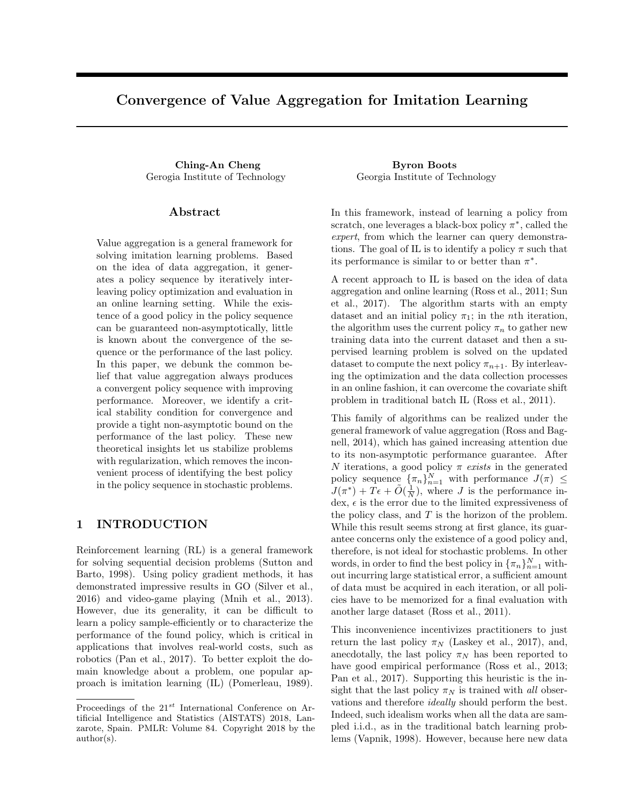# Convergence of Value Aggregation for Imitation Learning

Ching-An Cheng Byron Boots Gerogia Institute of Technology Georgia Institute of Technology

#### Abstract

Value aggregation is a general framework for solving imitation learning problems. Based on the idea of data aggregation, it generates a policy sequence by iteratively interleaving policy optimization and evaluation in an online learning setting. While the existence of a good policy in the policy sequence can be guaranteed non-asymptotically, little is known about the convergence of the sequence or the performance of the last policy. In this paper, we debunk the common belief that value aggregation always produces a convergent policy sequence with improving performance. Moreover, we identify a critical stability condition for convergence and provide a tight non-asymptotic bound on the performance of the last policy. These new theoretical insights let us stabilize problems with regularization, which removes the inconvenient process of identifying the best policy in the policy sequence in stochastic problems.

# 1 INTRODUCTION

Reinforcement learning (RL) is a general framework for solving sequential decision problems (Sutton and Barto, 1998). Using policy gradient methods, it has demonstrated impressive results in GO (Silver et al., 2016) and video-game playing (Mnih et al., 2013). However, due its generality, it can be difficult to learn a policy sample-efficiently or to characterize the performance of the found policy, which is critical in applications that involves real-world costs, such as robotics (Pan et al., 2017). To better exploit the domain knowledge about a problem, one popular approach is imitation learning (IL) (Pomerleau, 1989).

In this framework, instead of learning a policy from scratch, one leverages a black-box policy  $\pi^*$ , called the expert, from which the learner can query demonstrations. The goal of IL is to identify a policy  $\pi$  such that its performance is similar to or better than  $\pi^*$ .

A recent approach to IL is based on the idea of data aggregation and online learning (Ross et al., 2011; Sun et al., 2017). The algorithm starts with an empty dataset and an initial policy  $\pi_1$ ; in the *n*th iteration, the algorithm uses the current policy  $\pi_n$  to gather new training data into the current dataset and then a supervised learning problem is solved on the updated dataset to compute the next policy  $\pi_{n+1}$ . By interleaving the optimization and the data collection processes in an online fashion, it can overcome the covariate shift problem in traditional batch IL (Ross et al., 2011).

This family of algorithms can be realized under the general framework of value aggregation (Ross and Bagnell, 2014), which has gained increasing attention due to its non-asymptotic performance guarantee. After N iterations, a good policy  $\pi$  exists in the generated policy sequence  $\{\pi_n\}_{n=1}^N$  with performance  $J(\pi) \leq$  $J(\pi^*) + T\epsilon + \tilde{O}(\frac{1}{N}),$  where J is the performance index,  $\epsilon$  is the error due to the limited expressiveness of the policy class, and  $T$  is the horizon of the problem. While this result seems strong at first glance, its guarantee concerns only the existence of a good policy and, therefore, is not ideal for stochastic problems. In other words, in order to find the best policy in  $\{\pi_n\}_{n=1}^N$  without incurring large statistical error, a sufficient amount of data must be acquired in each iteration, or all policies have to be memorized for a final evaluation with another large dataset (Ross et al., 2011).

This inconvenience incentivizes practitioners to just return the last policy  $\pi_N$  (Laskey et al., 2017), and, anecdotally, the last policy  $\pi_N$  has been reported to have good empirical performance (Ross et al., 2013; Pan et al., 2017). Supporting this heuristic is the insight that the last policy  $\pi_N$  is trained with all observations and therefore ideally should perform the best. Indeed, such idealism works when all the data are sampled i.i.d., as in the traditional batch learning problems (Vapnik, 1998). However, because here new data

Proceedings of the  $21^{st}$  International Conference on Artificial Intelligence and Statistics (AISTATS) 2018, Lanzarote, Spain. PMLR: Volume 84. Copyright 2018 by the author(s).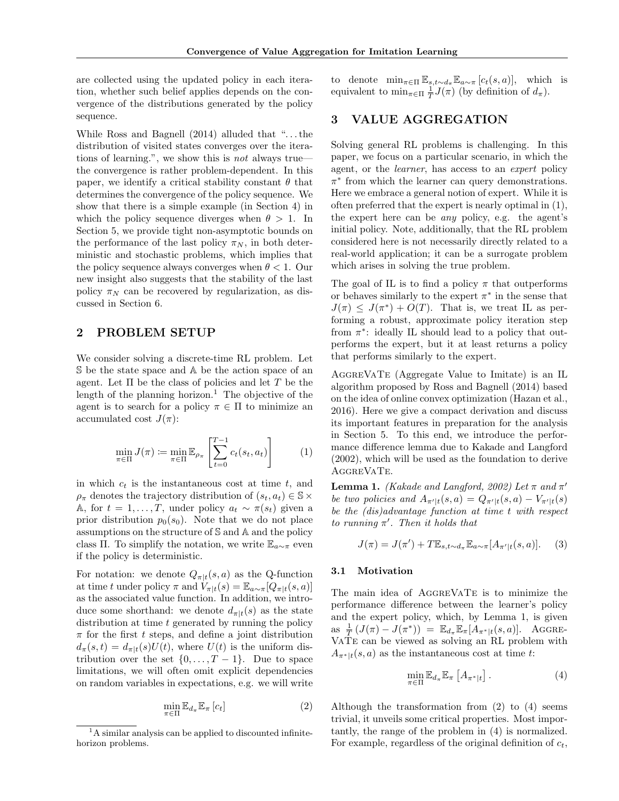are collected using the updated policy in each iteration, whether such belief applies depends on the convergence of the distributions generated by the policy sequence.

While Ross and Bagnell (2014) alluded that ". . . the distribution of visited states converges over the iterations of learning.", we show this is not always true the convergence is rather problem-dependent. In this paper, we identify a critical stability constant  $\theta$  that determines the convergence of the policy sequence. We show that there is a simple example (in Section 4) in which the policy sequence diverges when  $\theta > 1$ . In Section 5, we provide tight non-asymptotic bounds on the performance of the last policy  $\pi_N$ , in both deterministic and stochastic problems, which implies that the policy sequence always converges when  $\theta$  < 1. Our new insight also suggests that the stability of the last policy  $\pi_N$  can be recovered by regularization, as discussed in Section 6.

# 2 PROBLEM SETUP

We consider solving a discrete-time RL problem. Let S be the state space and A be the action space of an agent. Let  $\Pi$  be the class of policies and let  $T$  be the length of the planning horizon.<sup>1</sup> The objective of the agent is to search for a policy  $\pi \in \Pi$  to minimize an accumulated cost  $J(\pi)$ :

$$
\min_{\pi \in \Pi} J(\pi) \coloneqq \min_{\pi \in \Pi} \mathbb{E}_{\rho_{\pi}} \left[ \sum_{t=0}^{T-1} c_t(s_t, a_t) \right] \tag{1}
$$

in which  $c_t$  is the instantaneous cost at time  $t$ , and  $\rho_{\pi}$  denotes the trajectory distribution of  $(s_t, a_t) \in \mathbb{S} \times$ A, for  $t = 1, ..., T$ , under policy  $a_t \sim \pi(s_t)$  given a prior distribution  $p_0(s_0)$ . Note that we do not place assumptions on the structure of S and A and the policy class Π. To simplify the notation, we write  $\mathbb{E}_{a\sim\pi}$  even if the policy is deterministic.

For notation: we denote  $Q_{\pi|t}(s, a)$  as the Q-function at time t under policy  $\pi$  and  $V_{\pi|t}(s) = \mathbb{E}_{a \sim \pi}[Q_{\pi|t}(s, a)]$ as the associated value function. In addition, we introduce some shorthand: we denote  $d_{\pi|t}(s)$  as the state distribution at time  $t$  generated by running the policy  $\pi$  for the first t steps, and define a joint distribution  $d_{\pi}(s,t) = d_{\pi|t}(s)U(t)$ , where  $U(t)$  is the uniform distribution over the set  $\{0, \ldots, T-1\}$ . Due to space limitations, we will often omit explicit dependencies on random variables in expectations, e.g. we will write

$$
\min_{\pi \in \Pi} \mathbb{E}_{d_{\pi}} \mathbb{E}_{\pi} [c_t]
$$
\n(2)

to denote  $\min_{\pi \in \Pi} \mathbb{E}_{s,t \sim d_{\pi}} \mathbb{E}_{a \sim \pi} [c_t(s,a)],$  which is equivalent to  $\min_{\pi \in \Pi} \frac{1}{T} J(\pi)$  (by definition of  $d_{\pi}$ ).

# 3 VALUE AGGREGATION

Solving general RL problems is challenging. In this paper, we focus on a particular scenario, in which the agent, or the learner, has access to an expert policy  $\pi^*$  from which the learner can query demonstrations. Here we embrace a general notion of expert. While it is often preferred that the expert is nearly optimal in (1), the expert here can be any policy, e.g. the agent's initial policy. Note, additionally, that the RL problem considered here is not necessarily directly related to a real-world application; it can be a surrogate problem which arises in solving the true problem.

The goal of IL is to find a policy  $\pi$  that outperforms or behaves similarly to the expert  $\pi^*$  in the sense that  $J(\pi) \leq J(\pi^*) + O(T)$ . That is, we treat IL as performing a robust, approximate policy iteration step from  $\pi^*$ : ideally IL should lead to a policy that outperforms the expert, but it at least returns a policy that performs similarly to the expert.

AggreVaTe (Aggregate Value to Imitate) is an IL algorithm proposed by Ross and Bagnell (2014) based on the idea of online convex optimization (Hazan et al., 2016). Here we give a compact derivation and discuss its important features in preparation for the analysis in Section 5. To this end, we introduce the performance difference lemma due to Kakade and Langford (2002), which will be used as the foundation to derive AggreVaTe.

**Lemma 1.** (Kakade and Langford, 2002) Let  $\pi$  and  $\pi'$ be two policies and  $A_{\pi'|t}(s, a) = Q_{\pi'|t}(s, a) - V_{\pi'|t}(s)$ be the (dis)advantage function at time t with respect to running  $\pi'$ . Then it holds that

$$
J(\pi) = J(\pi') + T \mathbb{E}_{s, t \sim d_{\pi}} \mathbb{E}_{a \sim \pi} [A_{\pi'|t}(s, a)].
$$
 (3)

#### 3.1 Motivation

The main idea of AggreVaTe is to minimize the performance difference between the learner's policy and the expert policy, which, by Lemma 1, is given as  $\frac{1}{T} (J(\pi) - J(\pi^*)) = \mathbb{E}_{d_{\pi}} \mathbb{E}_{\pi} [A_{\pi^* | t}(s, a)].$  Aggre-VaTe can be viewed as solving an RL problem with  $A_{\pi^*|t}(s, a)$  as the instantaneous cost at time t:

$$
\min_{\pi \in \Pi} \mathbb{E}_{d_{\pi}} \mathbb{E}_{\pi} \left[ A_{\pi^*|t} \right]. \tag{4}
$$

Although the transformation from (2) to (4) seems trivial, it unveils some critical properties. Most importantly, the range of the problem in (4) is normalized. For example, regardless of the original definition of  $c_t$ ,

<sup>&</sup>lt;sup>1</sup>A similar analysis can be applied to discounted infinitehorizon problems.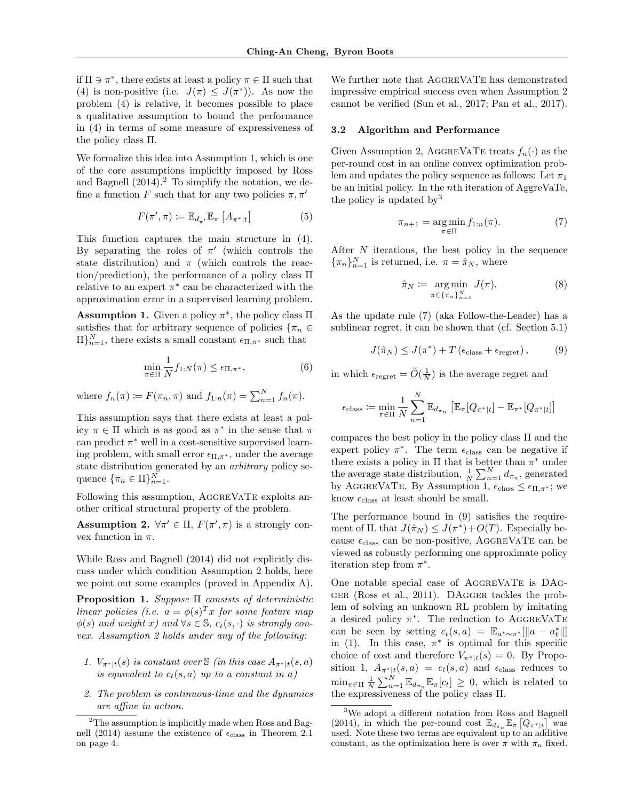if  $\Pi \ni \pi^*$ , there exists at least a policy  $\pi \in \Pi$  such that (4) is non-positive (i.e.  $J(\pi) \leq J(\pi^*)$ ). As now the problem (4) is relative, it becomes possible to place a qualitative assumption to bound the performance in (4) in terms of some measure of expressiveness of the policy class Π.

We formalize this idea into Assumption 1, which is one of the core assumptions implicitly imposed by Ross and Bagnell  $(2014).<sup>2</sup>$  To simplify the notation, we define a function F such that for any two policies  $\pi, \pi'$ 

$$
F(\pi', \pi) := \mathbb{E}_{d_{\pi'}} \mathbb{E}_{\pi} \left[ A_{\pi^*|t} \right] \tag{5}
$$

This function captures the main structure in (4). By separating the roles of  $\pi'$  (which controls the state distribution) and  $\pi$  (which controls the reaction/prediction), the performance of a policy class Π relative to an expert  $\pi^*$  can be characterized with the approximation error in a supervised learning problem.

**Assumption 1.** Given a policy  $\pi^*$ , the policy class  $\Pi$ satisfies that for arbitrary sequence of policies  $\{\pi_n \in$  $\Pi\}_{n=1}^{N}$ , there exists a small constant  $\epsilon_{\Pi,\pi^*}$  such that

$$
\min_{\pi \in \Pi} \frac{1}{N} f_{1:N}(\pi) \le \epsilon_{\Pi, \pi^*},\tag{6}
$$

where  $f_n(\pi) \coloneqq F(\pi_n, \pi)$  and  $f_{1:n}(\pi) = \sum_{n=1}^{N} f_n(\pi)$ .

This assumption says that there exists at least a policy  $\pi \in \Pi$  which is as good as  $\pi^*$  in the sense that  $\pi$ can predict  $\pi^*$  well in a cost-sensitive supervised learning problem, with small error  $\epsilon_{\Pi,\pi^*}$ , under the average state distribution generated by an arbitrary policy sequence  $\{\pi_n \in \Pi\}_{n=1}^N$ .

Following this assumption, AGGREVATE exploits another critical structural property of the problem.

**Assumption 2.**  $\forall \pi' \in \Pi$ ,  $F(\pi', \pi)$  is a strongly convex function in  $\pi$ .

While Ross and Bagnell (2014) did not explicitly discuss under which condition Assumption 2 holds, here we point out some examples (proved in Appendix A).

**Proposition 1.** Suppose  $\Pi$  consists of deterministic linear policies (i.e.  $a = \phi(s)^T x$  for some feature map  $\phi(s)$  and weight x) and  $\forall s \in \mathbb{S}$ ,  $c_t(s, \cdot)$  is strongly convex. Assumption 2 holds under any of the following:

- 1.  $V_{\pi^*|t}(s)$  is constant over  $\Im$  (in this case  $A_{\pi^*|t}(s,a)$ ) is equivalent to  $c_t(s, a)$  up to a constant in a)
- 2. The problem is continuous-time and the dynamics are affine in action.

We further note that AGGREVATE has demonstrated impressive empirical success even when Assumption 2 cannot be verified (Sun et al., 2017; Pan et al., 2017).

#### 3.2 Algorithm and Performance

Given Assumption 2, AGGREVATE treats  $f_n(\cdot)$  as the per-round cost in an online convex optimization problem and updates the policy sequence as follows: Let  $\pi_1$ be an initial policy. In the nth iteration of AggreVaTe, the policy is updated by<sup>3</sup>

$$
\pi_{n+1} = \underset{\pi \in \Pi}{\arg \min} f_{1:n}(\pi). \tag{7}
$$

After N iterations, the best policy in the sequence  ${\lbrace \pi_n \rbrace_{n=1}^N}$  is returned, i.e.  $\pi = \hat{\pi}_N$ , where

$$
\hat{\pi}_N := \underset{\pi \in \{\pi_n\}_{n=1}^N}{\arg \min} J(\pi). \tag{8}
$$

As the update rule (7) (aka Follow-the-Leader) has a sublinear regret, it can be shown that (cf. Section 5.1)

$$
J(\hat{\pi}_N) \le J(\pi^*) + T\left(\epsilon_{\text{class}} + \epsilon_{\text{regret}}\right),\tag{9}
$$

in which  $\epsilon_{\text{regret}} = \tilde{O}(\frac{1}{N})$  is the average regret and

$$
\epsilon_{\text{class}} := \min_{\pi \in \Pi} \frac{1}{N} \sum_{n=1}^{N} \mathbb{E}_{d_{\pi_n}} \left[ \mathbb{E}_{\pi} [Q_{\pi^*|t}] - \mathbb{E}_{\pi^*} [Q_{\pi^*|t}] \right]
$$

compares the best policy in the policy class  $\Pi$  and the expert policy  $\pi^*$ . The term  $\epsilon_{\text{class}}$  can be negative if there exists a policy in  $\Pi$  that is better than  $\pi^*$  under the average state distribution,  $\frac{1}{N} \sum_{n=1}^{N} d_{\pi_n}$ , generated by AGGREVATE. By Assumption 1,  $\epsilon_{\text{class}} \leq \epsilon_{\Pi,\pi^*}$ ; we know  $\epsilon_{\text{class}}$  at least should be small.

The performance bound in (9) satisfies the requirement of IL that  $J(\hat{\pi}_N) \leq J(\pi^*) + O(T)$ . Especially because  $\epsilon_{\text{class}}$  can be non-positive, AGGREVATE can be viewed as robustly performing one approximate policy iteration step from  $\pi^*$ .

One notable special case of AggreVaTe is DAgger (Ross et al., 2011). DAgger tackles the problem of solving an unknown RL problem by imitating a desired policy  $\pi^*$ . The reduction to AGGREVATE can be seen by setting  $c_t(s, a) = \mathbb{E}_{a^* \sim \pi^*}[\Vert a - a_t^* \Vert]$ in (1). In this case,  $\pi^*$  is optimal for this specific choice of cost and therefore  $V_{\pi^*|t}(s) = 0$ . By Proposition 1,  $A_{\pi^*|t}(s, a) = c_t(s, a)$  and  $\epsilon_{\text{class}}$  reduces to  $\min_{\pi \in \Pi} \frac{1}{N} \sum_{n=1}^{N} \mathbb{E}_{d_{\pi_n}} \mathbb{E}_{\pi}[c_t] \geq 0$ , which is related to the expressiveness of the policy class Π.

<sup>&</sup>lt;sup>2</sup>The assumption is implicitly made when Ross and Bagnell (2014) assume the existence of  $\epsilon_{\text{class}}$  in Theorem 2.1 on page 4.

<sup>3</sup>We adopt a different notation from Ross and Bagnell (2014), in which the per-round cost  $\mathbb{E}_{d_{\pi_n}} \mathbb{E}_{\pi} [Q_{\pi^*|t}]$  was used. Note these two terms are equivalent up to an additive constant, as the optimization here is over  $\pi$  with  $\pi_n$  fixed.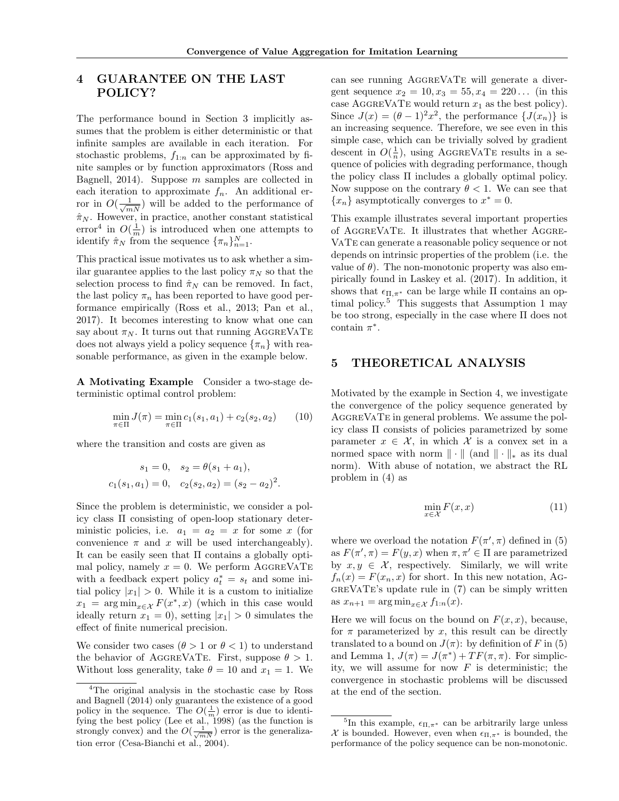# 4 GUARANTEE ON THE LAST POLICY?

The performance bound in Section 3 implicitly assumes that the problem is either deterministic or that infinite samples are available in each iteration. For stochastic problems,  $f_{1:n}$  can be approximated by finite samples or by function approximators (Ross and Bagnell, 2014). Suppose  $m$  samples are collected in each iteration to approximate  $f_n$ . An additional error in  $O(\frac{1}{\sqrt{mN}})$  will be added to the performance of  $\hat{\pi}_N.$  However, in practice, another constant statistical error<sup>4</sup> in  $O(\frac{1}{m})$  is introduced when one attempts to identify  $\hat{\pi}_N$  from the sequence  $\{\pi_n\}_{n=1}^N$ .

This practical issue motivates us to ask whether a similar guarantee applies to the last policy  $\pi_N$  so that the selection process to find  $\hat{\pi}_N$  can be removed. In fact, the last policy  $\pi_n$  has been reported to have good performance empirically (Ross et al., 2013; Pan et al., 2017). It becomes interesting to know what one can say about  $\pi_N$ . It turns out that running AGGREVATE does not always yield a policy sequence  $\{\pi_n\}$  with reasonable performance, as given in the example below.

A Motivating Example Consider a two-stage deterministic optimal control problem:

$$
\min_{\pi \in \Pi} J(\pi) = \min_{\pi \in \Pi} c_1(s_1, a_1) + c_2(s_2, a_2) \tag{10}
$$

where the transition and costs are given as

$$
s_1 = 0
$$
,  $s_2 = \theta(s_1 + a_1)$ ,  
 $c_1(s_1, a_1) = 0$ ,  $c_2(s_2, a_2) = (s_2 - a_2)^2$ .

Since the problem is deterministic, we consider a policy class Π consisting of open-loop stationary deterministic policies, i.e.  $a_1 = a_2 = x$  for some x (for convenience  $\pi$  and  $x$  will be used interchangeably). It can be easily seen that Π contains a globally optimal policy, namely  $x = 0$ . We perform AGGREVATE with a feedback expert policy  $a_t^* = s_t$  and some initial policy  $|x_1| > 0$ . While it is a custom to initialize  $x_1 = \arg \min_{x \in \mathcal{X}} F(x^*, x)$  (which in this case would ideally return  $x_1 = 0$ , setting  $|x_1| > 0$  simulates the effect of finite numerical precision.

We consider two cases  $(\theta > 1 \text{ or } \theta < 1)$  to understand the behavior of AGGREVATE. First, suppose  $\theta > 1$ . Without loss generality, take  $\theta = 10$  and  $x_1 = 1$ . We

can see running AggreVaTe will generate a divergent sequence  $x_2 = 10, x_3 = 55, x_4 = 220...$  (in this case AGGREVATE would return  $x_1$  as the best policy). Since  $J(x) = (\theta - 1)^2 x^2$ , the performance  $\{J(x_n)\}\$ is an increasing sequence. Therefore, we see even in this simple case, which can be trivially solved by gradient descent in  $O(\frac{1}{n})$ , using AGGREVATE results in a sequence of policies with degrading performance, though the policy class Π includes a globally optimal policy. Now suppose on the contrary  $\theta < 1$ . We can see that  ${x_n}$  asymptotically converges to  $x^* = 0$ .

This example illustrates several important properties of AggreVaTe. It illustrates that whether Aggre-VaTe can generate a reasonable policy sequence or not depends on intrinsic properties of the problem (i.e. the value of  $\theta$ ). The non-monotonic property was also empirically found in Laskey et al. (2017). In addition, it shows that  $\epsilon_{\Pi,\pi^*}$  can be large while  $\Pi$  contains an optimal policy.<sup>5</sup> This suggests that Assumption 1 may be too strong, especially in the case where Π does not contain  $\pi^*$ .

## 5 THEORETICAL ANALYSIS

Motivated by the example in Section 4, we investigate the convergence of the policy sequence generated by AggreVaTe in general problems. We assume the policy class Π consists of policies parametrized by some parameter  $x \in \mathcal{X}$ , in which X is a convex set in a normed space with norm  $\|\cdot\|$  (and  $\|\cdot\|_*$  as its dual norm). With abuse of notation, we abstract the RL problem in (4) as

$$
\min_{x \in \mathcal{X}} F(x, x) \tag{11}
$$

where we overload the notation  $F(\pi', \pi)$  defined in (5) as  $F(\pi', \pi) = F(y, x)$  when  $\pi, \pi' \in \Pi$  are parametrized by  $x, y \in \mathcal{X}$ , respectively. Similarly, we will write  $f_n(x) = F(x_n, x)$  for short. In this new notation, AG- $GREVATE's update rule in (7) can be simply written.$ as  $x_{n+1} = \arg \min_{x \in \mathcal{X}} f_{1:n}(x)$ .

Here we will focus on the bound on  $F(x, x)$ , because, for  $\pi$  parameterized by x, this result can be directly translated to a bound on  $J(\pi)$ : by definition of F in (5) and Lemma 1,  $J(\pi) = J(\pi^*) + TF(\pi, \pi)$ . For simplicity, we will assume for now  $F$  is deterministic; the convergence in stochastic problems will be discussed at the end of the section.

<sup>&</sup>lt;sup>4</sup>The original analysis in the stochastic case by Ross and Bagnell (2014) only guarantees the existence of a good policy in the sequence. The  $O(\frac{1}{m})$  error is due to identifying the best policy (Lee et al., 1998) (as the function is strongly convex) and the  $O(\frac{1}{\sqrt{mN}})$  error is the generalization error (Cesa-Bianchi et al., 2004).

<sup>&</sup>lt;sup>5</sup>In this example,  $\epsilon_{\Pi,\pi^*}$  can be arbitrarily large unless X is bounded. However, even when  $\epsilon_{\Pi,\pi^*}$  is bounded, the performance of the policy sequence can be non-monotonic.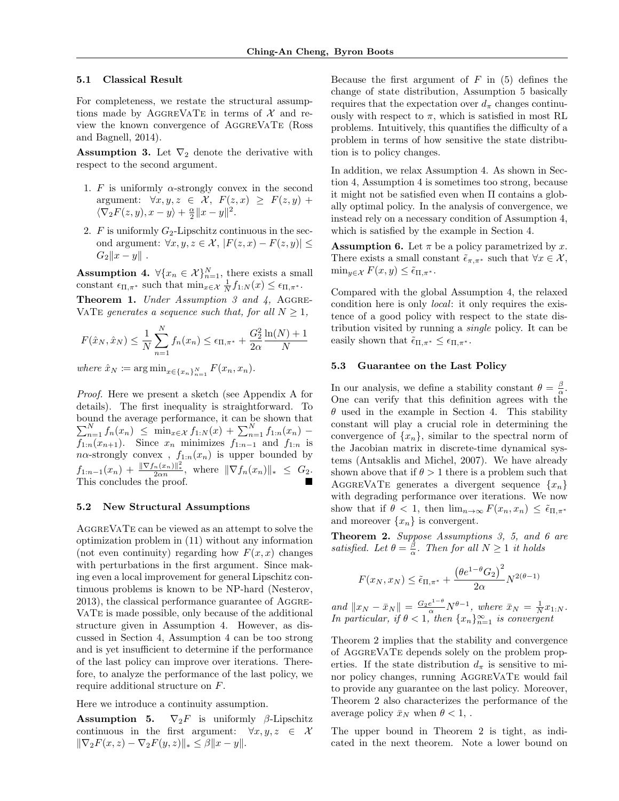#### 5.1 Classical Result

For completeness, we restate the structural assumptions made by AGGREVATE in terms of  $\mathcal X$  and review the known convergence of AggreVaTe (Ross and Bagnell, 2014).

**Assumption 3.** Let  $\nabla_2$  denote the derivative with respect to the second argument.

- 1. F is uniformly  $\alpha$ -strongly convex in the second argument:  $\forall x, y, z \in \mathcal{X}, F(z, x) \geq F(z, y) +$  $\langle \nabla_2 F(z, y), x - y \rangle + \frac{\alpha}{2} ||x - y||^2.$
- 2. F is uniformly  $G_2$ -Lipschitz continuous in the second argument:  $\forall x, y, z \in \mathcal{X}, |F(z, x) - F(z, y)| \leq$  $G_2||x - y||$ .

**Assumption 4.**  $\forall \{x_n \in \mathcal{X}\}_{n=1}^N$ , there exists a small constant  $\epsilon_{\Pi,\pi^*}$  such that  $\min_{x \in \mathcal{X}} \frac{1}{N} f_{1:N}(x) \leq \epsilon_{\Pi,\pi^*}.$ 

**Theorem 1.** Under Assumption 3 and  $\lambda$ , AGGRE-VATE generates a sequence such that, for all  $N \geq 1$ ,

$$
F(\hat{x}_N, \hat{x}_N) \le \frac{1}{N} \sum_{n=1}^N f_n(x_n) \le \epsilon_{\Pi, \pi^*} + \frac{G_2^2}{2\alpha} \frac{\ln(N) + 1}{N}
$$

where  $\hat{x}_N \coloneqq \arg \min_{x \in \{x_n\}_{n=1}^N} F(x_n, x_n)$ .

Proof. Here we present a sketch (see Appendix A for details). The first inequality is straightforward. To bound the average performance, it can be shown that  $\sum_{n=1}^{N} f_n(x_n) \leq \min_{x \in \mathcal{X}} f_{1:N}(x) + \sum_{n=1}^{N} f_{1:n}(x_n)$  $f_{1:n}(x_{n+1})$ . Since  $x_n$  minimizes  $f_{1:n-1}$  and  $f_{1:n}$  is  $n\alpha$ -strongly convex,  $f_{1:n}(x_n)$  is upper bounded by  $f_{1:n-1}(x_n) + \frac{\|\nabla f_n(x_n)\|^2_*}{2\alpha n}, \text{ where } \|\nabla f_n(x_n)\|_* \leq G_2.$ This concludes the proof.

#### 5.2 New Structural Assumptions

AGGREVATE can be viewed as an attempt to solve the optimization problem in (11) without any information (not even continuity) regarding how  $F(x, x)$  changes with perturbations in the first argument. Since making even a local improvement for general Lipschitz continuous problems is known to be NP-hard (Nesterov, 2013), the classical performance guarantee of Aggre-VaTe is made possible, only because of the additional structure given in Assumption 4. However, as discussed in Section 4, Assumption 4 can be too strong and is yet insufficient to determine if the performance of the last policy can improve over iterations. Therefore, to analyze the performance of the last policy, we require additional structure on F.

Here we introduce a continuity assumption.

**Assumption 5.**  $\nabla_2 F$  is uniformly  $\beta$ -Lipschitz continuous in the first argument:  $\forall x, y, z \in \mathcal{X}$  $\|\nabla_2F(x, z) - \nabla_2F(y, z)\|_* \leq \beta \|x - y\|.$ 

Because the first argument of  $F$  in (5) defines the change of state distribution, Assumption 5 basically requires that the expectation over  $d_{\pi}$  changes continuously with respect to  $\pi$ , which is satisfied in most RL problems. Intuitively, this quantifies the difficulty of a problem in terms of how sensitive the state distribution is to policy changes.

In addition, we relax Assumption 4. As shown in Section 4, Assumption 4 is sometimes too strong, because it might not be satisfied even when Π contains a globally optimal policy. In the analysis of convergence, we instead rely on a necessary condition of Assumption 4, which is satisfied by the example in Section 4.

**Assumption 6.** Let  $\pi$  be a policy parametrized by x. There exists a small constant  $\tilde{\epsilon}_{\pi,\pi^*}$  such that  $\forall x \in \mathcal{X}$ ,  $\min_{y \in \mathcal{X}} F(x, y) \leq \tilde{\epsilon}_{\Pi, \pi^*}.$ 

Compared with the global Assumption 4, the relaxed condition here is only local: it only requires the existence of a good policy with respect to the state distribution visited by running a single policy. It can be easily shown that  $\tilde{\epsilon}_{\Pi,\pi^*} \leq \epsilon_{\Pi,\pi^*}$ .

# 5.3 Guarantee on the Last Policy

In our analysis, we define a stability constant  $\theta = \frac{\beta}{\alpha}$ . One can verify that this definition agrees with the  $\theta$  used in the example in Section 4. This stability constant will play a crucial role in determining the convergence of  $\{x_n\}$ , similar to the spectral norm of the Jacobian matrix in discrete-time dynamical systems (Antsaklis and Michel, 2007). We have already shown above that if  $\theta > 1$  there is a problem such that AGGREVATE generates a divergent sequence  $\{x_n\}$ with degrading performance over iterations. We now show that if  $\theta < 1$ , then  $\lim_{n\to\infty} F(x_n, x_n) \leq \tilde{\epsilon}_{\Pi,\pi^*}$ and moreover  $\{x_n\}$  is convergent.

Theorem 2. Suppose Assumptions 3, 5, and 6 are satisfied. Let  $\theta = \frac{\beta}{\alpha}$ . Then for all  $N \geq 1$  it holds

$$
F(x_N, x_N) \le \tilde{\epsilon}_{\Pi, \pi^*} + \frac{\left(\theta e^{1-\theta} G_2\right)^2}{2\alpha} N^{2(\theta-1)}
$$

and  $||x_N - \bar{x}_N|| = \frac{G_2 e^{1-\theta}}{\alpha} N^{\theta-1}$ , where  $\bar{x}_N = \frac{1}{N} x_{1:N}$ . In particular, if  $\theta < 1$ , then  $\{x_n\}_{n=1}^{\infty}$  is convergent

Theorem 2 implies that the stability and convergence of AggreVaTe depends solely on the problem properties. If the state distribution  $d_{\pi}$  is sensitive to minor policy changes, running AggreVaTe would fail to provide any guarantee on the last policy. Moreover, Theorem 2 also characterizes the performance of the average policy  $\bar{x}_N$  when  $\theta < 1$ ,.

The upper bound in Theorem 2 is tight, as indicated in the next theorem. Note a lower bound on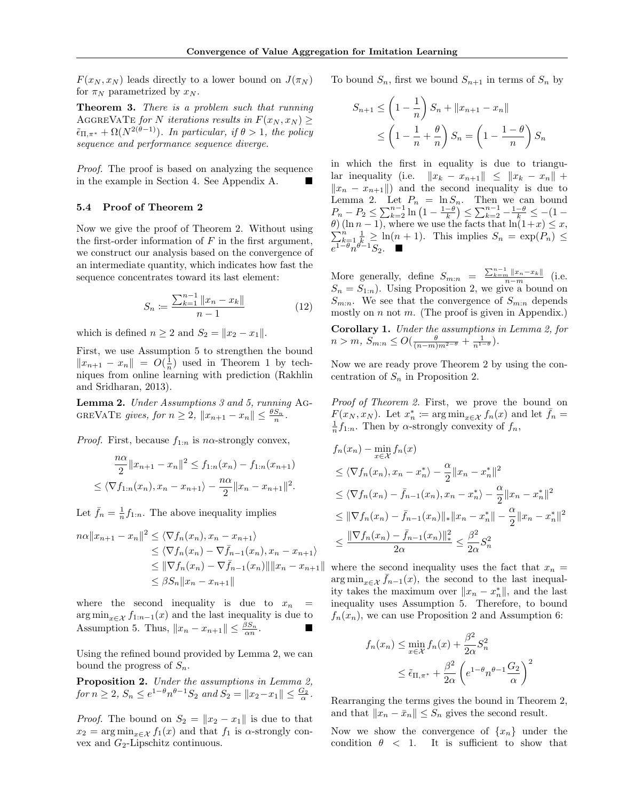$F(x_N, x_N)$  leads directly to a lower bound on  $J(\pi_N)$ for  $\pi_N$  parametrized by  $x_N$ .

Theorem 3. There is a problem such that running AGGREVATE for N iterations results in  $F(x_N, x_N)$  $\tilde{\epsilon}_{\Pi,\pi^*} + \Omega(N^{2(\theta-1)})$ . In particular, if  $\theta > 1$ , the policy sequence and performance sequence diverge.

Proof. The proof is based on analyzing the sequence in the example in Section 4. See Appendix A.

#### 5.4 Proof of Theorem 2

Now we give the proof of Theorem 2. Without using the first-order information of  $F$  in the first argument, we construct our analysis based on the convergence of an intermediate quantity, which indicates how fast the sequence concentrates toward its last element:

$$
S_n := \frac{\sum_{k=1}^{n-1} \|x_n - x_k\|}{n-1}
$$
 (12)

which is defined  $n \geq 2$  and  $S_2 = ||x_2 - x_1||$ .

First, we use Assumption 5 to strengthen the bound  $||x_{n+1} - x_n|| = O(\frac{1}{n})$  used in Theorem 1 by techniques from online learning with prediction (Rakhlin and Sridharan, 2013).

Lemma 2. Under Assumptions 3 and 5, running Ag-GREVATE gives, for  $n \geq 2$ ,  $||x_{n+1} - x_n|| \leq \frac{\theta S_n}{n}$ .

*Proof.* First, because  $f_{1:n}$  is n $\alpha$ -strongly convex,

$$
\frac{n\alpha}{2}||x_{n+1} - x_n||^2 \le f_{1:n}(x_n) - f_{1:n}(x_{n+1})
$$
  

$$
\le \langle \nabla f_{1:n}(x_n), x_n - x_{n+1} \rangle - \frac{n\alpha}{2}||x_n - x_{n+1}||^2.
$$

Let  $\bar{f}_n = \frac{1}{n} f_{1:n}$ . The above inequality implies

$$
n\alpha ||x_{n+1} - x_n||^2 \le \langle \nabla f_n(x_n), x_n - x_{n+1} \rangle
$$
  
\n
$$
\le \langle \nabla f_n(x_n) - \nabla \bar{f}_{n-1}(x_n), x_n - x_{n+1} \rangle
$$
  
\n
$$
\le ||\nabla f_n(x_n) - \nabla \bar{f}_{n-1}(x_n)|| ||x_n - x_{n+1}||
$$
  
\n
$$
\le \beta S_n ||x_n - x_{n+1}||
$$

where the second inequality is due to  $x_n =$  $\arg \min_{x \in \mathcal{X}} f_{1:n-1}(x)$  and the last inequality is due to Assumption 5. Thus,  $||x_n - x_{n+1}|| \leq \frac{\beta S_n}{\alpha n}$ .

Using the refined bound provided by Lemma 2, we can bound the progress of  $S_n$ .

Proposition 2. Under the assumptions in Lemma 2, for  $n \ge 2$ ,  $S_n \le e^{1-\theta} n^{\theta-1} S_2$  and  $S_2 = ||x_2 - x_1|| \le \frac{G_2}{\alpha}$ .

*Proof.* The bound on  $S_2 = ||x_2 - x_1||$  is due to that  $x_2 = \arg\min_{x \in \mathcal{X}} f_1(x)$  and that  $f_1$  is  $\alpha$ -strongly convex and  $G_2$ -Lipschitz continuous.

To bound  $S_n$ , first we bound  $S_{n+1}$  in terms of  $S_n$  by

$$
S_{n+1} \le \left(1 - \frac{1}{n}\right) S_n + ||x_{n+1} - x_n||
$$
  

$$
\le \left(1 - \frac{1}{n} + \frac{\theta}{n}\right) S_n = \left(1 - \frac{1 - \theta}{n}\right) S_n
$$

in which the first in equality is due to triangular inequality (i.e.  $||x_k - x_{n+1}|| \le ||x_k - x_n|| +$  $||x_n - x_{n+1}||$  and the second inequality is due to Lemma 2. Let  $P_n = \ln S_n$ . Then we can bound  $P_n - P_2 \le \sum_{k=2}^{n-1} \ln \left( 1 - \frac{1-\theta}{k} \right) \le \sum_{k=2}^{n-1} - \frac{1-\theta}{k} \le -(1-\theta)$  $\theta$ ) (ln n – 1), where we use the facts that  $\ln(1+x) \leq x$ ,  $\sum_{k=1}^{n} \frac{1}{k} \geq \ln(n+1)$ . This implies  $S_n = \exp(P_n) \leq$  $e^{1-\theta_n^{\alpha+\theta}-1}S_2$ .

More generally, define  $S_{m:n} = \frac{\sum_{k=m}^{n-1} ||x_n - x_k||}{n-m}$  (i.e.  $S_n = S_{1:n}$ . Using Proposition 2, we give a bound on  $S_{m:n}$ . We see that the convergence of  $S_{m:n}$  depends mostly on  $n$  not  $m$ . (The proof is given in Appendix.) Corollary 1. Under the assumptions in Lemma 2, for  $n > m, S_{m:n} \leq O(\frac{\theta}{(n-m)m^{2-\theta}} + \frac{1}{n^{1-\theta}}).$ 

Now we are ready prove Theorem 2 by using the concentration of  $S_n$  in Proposition 2.

Proof of Theorem 2. First, we prove the bound on  $F(x_N, x_N)$ . Let  $x_n^* \coloneqq \arg\min_{x \in \mathcal{X}} f_n(x)$  and let  $\bar{f}_n =$  $\frac{1}{n}f_{1:n}$ . Then by  $\alpha$ -strongly convexity of  $f_n$ ,

$$
f_n(x_n) - \min_{x \in \mathcal{X}} f_n(x)
$$
  
\n
$$
\leq \langle \nabla f_n(x_n), x_n - x_n^* \rangle - \frac{\alpha}{2} ||x_n - x_n^*||^2
$$
  
\n
$$
\leq \langle \nabla f_n(x_n) - \bar{f}_{n-1}(x_n), x_n - x_n^* \rangle - \frac{\alpha}{2} ||x_n - x_n^*||^2
$$
  
\n
$$
\leq ||\nabla f_n(x_n) - \bar{f}_{n-1}(x_n)||_* ||x_n - x_n^*|| - \frac{\alpha}{2} ||x_n - x_n^*||^2
$$
  
\n
$$
\leq \frac{||\nabla f_n(x_n) - \bar{f}_{n-1}(x_n)||_*^2}{2\alpha} \leq \frac{\beta^2}{2\alpha} S_n^2
$$

where the second inequality uses the fact that  $x_n =$  $\arg \min_{x \in \mathcal{X}} \bar{f}_{n-1}(x)$ , the second to the last inequality takes the maximum over  $||x_n - x_n^*||$ , and the last inequality uses Assumption 5. Therefore, to bound  $f_n(x_n)$ , we can use Proposition 2 and Assumption 6:

$$
f_n(x_n) \le \min_{x \in \mathcal{X}} f_n(x) + \frac{\beta^2}{2\alpha} S_n^2
$$
  

$$
\le \tilde{\epsilon}_{\Pi, \pi^*} + \frac{\beta^2}{2\alpha} \left( e^{1-\theta} n^{\theta-1} \frac{G_2}{\alpha} \right)^2
$$

Rearranging the terms gives the bound in Theorem 2, and that  $||x_n - \bar{x}_n|| \leq S_n$  gives the second result.

Now we show the convergence of  $\{x_n\}$  under the condition  $\theta$  < 1. It is sufficient to show that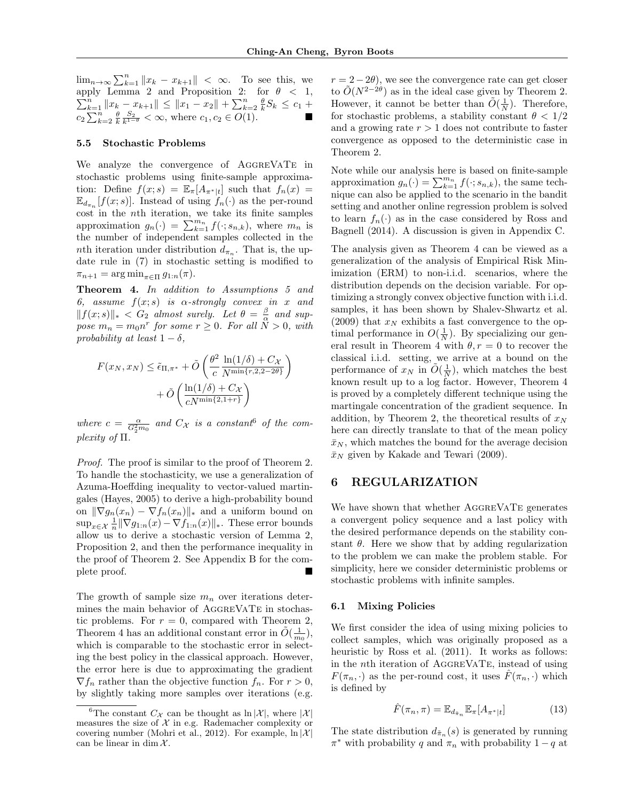$\lim_{n\to\infty}\sum_{k=1}^n||x_k - x_{k+1}|| < \infty$ . To see this, we apply Lemma 2 and Proposition 2: for  $\sum$ ply Lemma 2 and Proposition 2: for  $\theta < 1$ ,<br>  $\sum_{k=1}^{n} ||x_k - x_{k+1}|| \le ||x_1 - x_2|| + \sum_{k=2}^{n} \frac{\theta}{k} S_k \le c_1 +$  $c_2 \sum_{k=2}^n \frac{\theta}{k} \frac{S_2}{k^{1-\theta}} < \infty$ , where  $c_1, c_2 \in O(1)$ .

#### 5.5 Stochastic Problems

We analyze the convergence of AGGREVATE in stochastic problems using finite-sample approximation: Define  $f(x; s) = \mathbb{E}_{\pi}[A_{\pi^*|t}]$  such that  $f_n(x) =$  $\mathbb{E}_{d_{\pi_n}}[f(x; s)]$ . Instead of using  $f_n(\cdot)$  as the per-round cost in the nth iteration, we take its finite samples approximation  $g_n(\cdot) = \sum_{k=1}^{m_n} f(\cdot; s_{n,k})$ , where  $m_n$  is the number of independent samples collected in the nth iteration under distribution  $d_{\pi_n}$ . That is, the update rule in (7) in stochastic setting is modified to  $\pi_{n+1} = \arg \min_{\pi \in \Pi} g_{1:n}(\pi).$ 

Theorem 4. In addition to Assumptions 5 and 6, assume  $f(x; s)$  is  $\alpha$ -strongly convex in x and  $||f(x; s)||_* < G_2$  almost surely. Let  $\theta = \frac{\beta}{\alpha}$  and suppose  $m_n = m_0 n^r$  for some  $r \geq 0$ . For all  $\tilde{N} > 0$ , with probability at least  $1 - \delta$ ,

$$
F(x_N, x_N) \leq \tilde{\epsilon}_{\Pi, \pi^*} + \tilde{O}\left(\frac{\theta^2}{c} \frac{\ln(1/\delta) + C_{\mathcal{X}}}{N^{\min\{r, 2, 2 - 2\theta\}}}\right) + \tilde{O}\left(\frac{\ln(1/\delta) + C_{\mathcal{X}}}{cN^{\min\{2, 1 + r\}}}\right)
$$

where  $c = \frac{\alpha}{G_2^2 m_0}$  and  $C_{\mathcal{X}}$  is a constant of the complexity of Π.

Proof. The proof is similar to the proof of Theorem 2. To handle the stochasticity, we use a generalization of Azuma-Hoeffding inequality to vector-valued martingales (Hayes, 2005) to derive a high-probability bound on  $\|\nabla g_n(x_n) - \nabla f_n(x_n)\|_*$  and a uniform bound on  $\sup_{x \in \mathcal{X}} \frac{1}{n} \|\nabla g_{1:n}(x) - \nabla f_{1:n}(x)\|_*$ . These error bounds allow us to derive a stochastic version of Lemma 2, Proposition 2, and then the performance inequality in the proof of Theorem 2. See Appendix B for the complete proof.

The growth of sample size  $m_n$  over iterations determines the main behavior of AGGREVATE in stochastic problems. For  $r = 0$ , compared with Theorem 2, Theorem 4 has an additional constant error in  $\tilde{O}(\frac{1}{m_0})$ , which is comparable to the stochastic error in selecting the best policy in the classical approach. However, the error here is due to approximating the gradient  $\nabla f_n$  rather than the objective function  $f_n$ . For  $r > 0$ , by slightly taking more samples over iterations (e.g.

 $r = 2 - 2\theta$ , we see the convergence rate can get closer to  $\tilde{O}(N^{2-2\theta})$  as in the ideal case given by Theorem 2. However, it cannot be better than  $\tilde{O}(\frac{1}{N})$ . Therefore, for stochastic problems, a stability constant  $\theta < 1/2$ and a growing rate  $r > 1$  does not contribute to faster convergence as opposed to the deterministic case in Theorem 2.

Note while our analysis here is based on finite-sample approximation  $g_n(\cdot) = \sum_{k=1}^{m_n} f(\cdot; s_{n,k})$ , the same technique can also be applied to the scenario in the bandit setting and another online regression problem is solved to learn  $f_n(\cdot)$  as in the case considered by Ross and Bagnell (2014). A discussion is given in Appendix C.

The analysis given as Theorem 4 can be viewed as a generalization of the analysis of Empirical Risk Minimization (ERM) to non-i.i.d. scenarios, where the distribution depends on the decision variable. For optimizing a strongly convex objective function with i.i.d. samples, it has been shown by Shalev-Shwartz et al. (2009) that  $x_N$  exhibits a fast convergence to the optimal performance in  $O(\frac{1}{N})$ . By specializing our general result in Theorem 4 with  $\theta$ ,  $r = 0$  to recover the classical i.i.d. setting, we arrive at a bound on the performance of  $x_N$  in  $\tilde{O}(\frac{1}{N})$ , which matches the best known result up to a log factor. However, Theorem 4 is proved by a completely different technique using the martingale concentration of the gradient sequence. In addition, by Theorem 2, the theoretical results of  $x_N$ here can directly translate to that of the mean policy  $\bar{x}_N$ , which matches the bound for the average decision  $\bar{x}_N$  given by Kakade and Tewari (2009).

### 6 REGULARIZATION

We have shown that whether AGGREVATE generates a convergent policy sequence and a last policy with the desired performance depends on the stability constant  $\theta$ . Here we show that by adding regularization to the problem we can make the problem stable. For simplicity, here we consider deterministic problems or stochastic problems with infinite samples.

#### 6.1 Mixing Policies

We first consider the idea of using mixing policies to collect samples, which was originally proposed as a heuristic by Ross et al. (2011). It works as follows: in the nth iteration of AggreVaTe, instead of using  $F(\pi_n, \cdot)$  as the per-round cost, it uses  $F(\pi_n, \cdot)$  which is defined by

$$
\hat{F}(\pi_n, \pi) = \mathbb{E}_{d_{\tilde{\pi}_n}} \mathbb{E}_{\pi} [A_{\pi^*|t}] \tag{13}
$$

The state distribution  $d_{\tilde{\pi}_n}(s)$  is generated by running  $\pi^*$  with probability q and  $\pi_n$  with probability  $1-q$  at

<sup>&</sup>lt;sup>6</sup>The constant  $C_{\mathcal{X}}$  can be thought as  $\ln |\mathcal{X}|$ , where  $|\mathcal{X}|$ measures the size of  $X$  in e.g. Rademacher complexity or covering number (Mohri et al., 2012). For example,  $\ln |\mathcal{X}|$ can be linear in dim  $\mathcal{X}$ .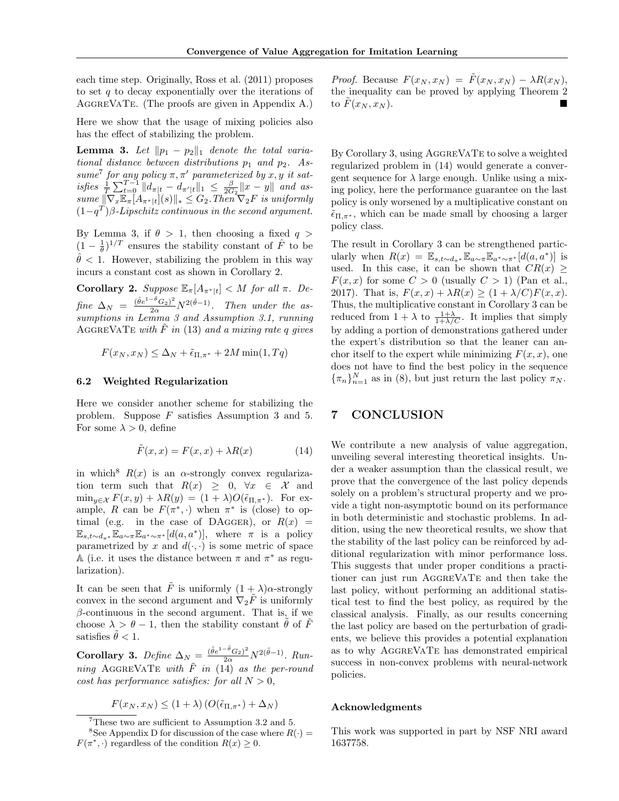each time step. Originally, Ross et al. (2011) proposes to set  $q$  to decay exponentially over the iterations of AGGREVATE. (The proofs are given in Appendix A.)

Here we show that the usage of mixing policies also has the effect of stabilizing the problem.

**Lemma 3.** Let  $||p_1 - p_2||_1$  denote the total variational distance between distributions  $p_1$  and  $p_2$ . Assume<sup>7</sup> for any policy  $\pi, \pi'$  parameterized by x, y it satisfies  $\frac{1}{T} \sum_{t=0}^{T-1} ||d_{\pi|t} - d_{\pi'|t}||_1 \leq \frac{\beta}{2G_2} ||x - y||$  and assume  $\|\nabla_x\mathbb{E}_{\pi}[A_{\pi^*|t}](s)\|_* \leq G_2$ . Then  $\nabla_2 F$  is uniformly  $(1-q^T)\beta$ -Lipschitz continuous in the second argument.

By Lemma 3, if  $\theta > 1$ , then choosing a fixed  $q >$  $(1 - \frac{1}{\theta})^{1/T}$  ensures the stability constant of  $\hat{F}$  to be  $\hat{\theta}$  < 1. However, stabilizing the problem in this way incurs a constant cost as shown in Corollary 2.

**Corollary 2.** Suppose  $\mathbb{E}_{\pi}[A_{\pi^*|t}] < M$  for all  $\pi$ . Define  $\Delta_N = \frac{(\hat{\theta}e^{1-\hat{\theta}}G_2)^2}{2\alpha}N^{2(\hat{\theta}-1)}$ . Then under the assumptions in Lemma 3 and Assumption 3.1, running AGGREVATE with  $\tilde{F}$  in (13) and a mixing rate q gives

 $F(x_N, x_N) \leq \Delta_N + \tilde{\epsilon}_{\Pi,\pi^*} + 2M \min(1, T_q)$ 

#### 6.2 Weighted Regularization

Here we consider another scheme for stabilizing the problem. Suppose F satisfies Assumption 3 and 5. For some  $\lambda > 0$ , define

$$
\tilde{F}(x,x) = F(x,x) + \lambda R(x) \tag{14}
$$

in which<sup>8</sup>  $R(x)$  is an  $\alpha$ -strongly convex regularization term such that  $R(x) \geq 0, \forall x \in \mathcal{X}$  and  $\min_{y \in \mathcal{X}} F(x, y) + \lambda R(y) = (1 + \lambda)O(\tilde{\epsilon}_{\Pi, \pi^*}).$  For example, R can be  $F(\pi^*, \cdot)$  when  $\pi^*$  is (close) to optimal (e.g. in the case of DAGGER), or  $R(x)$  =  $\mathbb{E}_{s,t\sim d_{\pi^*}}\mathbb{E}_{a\sim \pi} \mathbb{E}_{a^*\sim \pi^*}[d(a,a^*)],$  where  $\pi$  is a policy parametrized by x and  $d(\cdot, \cdot)$  is some metric of space A (i.e. it uses the distance between  $\pi$  and  $\pi^*$  as regularization).

It can be seen that  $\tilde{F}$  is uniformly  $(1 + \lambda)\alpha$ -strongly convex in the second argument and  $\nabla_2 \tilde{F}$  is uniformly  $\beta$ -continuous in the second argument. That is, if we choose  $\lambda > \theta - 1$ , then the stability constant  $\tilde{\theta}$  of  $\tilde{F}$ satisfies  $\tilde{\theta} < 1$ .

Corollary 3. Define  $\Delta_N = \frac{(\tilde{\theta}e^{1-\tilde{\theta}}G_2)^2}{2\alpha}N^{2(\tilde{\theta}-1)}$ . Running AGGREVATE with  $\tilde{F}$  in (14) as the per-round cost has performance satisfies: for all  $N > 0$ ,

$$
F(x_N, x_N) \le (1 + \lambda) \left( O(\tilde{\epsilon}_{\Pi, \pi^*}) + \Delta_N \right)
$$

*Proof.* Because  $F(x_N, x_N) = \tilde{F}(x_N, x_N) - \lambda R(x_N)$ , the inequality can be proved by applying Theorem 2 to  $F(x_N, x_N)$ .

By Corollary 3, using AGGREVATE to solve a weighted regularized problem in (14) would generate a convergent sequence for  $\lambda$  large enough. Unlike using a mixing policy, here the performance guarantee on the last policy is only worsened by a multiplicative constant on  $\tilde{\epsilon}_{\Pi,\pi^*}$ , which can be made small by choosing a larger policy class.

The result in Corollary 3 can be strengthened particularly when  $R(x) = \mathbb{E}_{s,t \sim d_{\pi^*}} \mathbb{E}_{a \sim \pi} \mathbb{E}_{a^* \sim \pi^*} [d(a,a^*)]$  is used. In this case, it can be shown that  $CR(x)$  $F(x, x)$  for some  $C > 0$  (usually  $C > 1$ ) (Pan et al., 2017). That is,  $F(x, x) + \lambda R(x) \ge (1 + \lambda/C)F(x, x)$ . Thus, the multiplicative constant in Corollary 3 can be reduced from  $1 + \lambda$  to  $\frac{1+\lambda}{1+\lambda/C}$ . It implies that simply by adding a portion of demonstrations gathered under the expert's distribution so that the leaner can anchor itself to the expert while minimizing  $F(x, x)$ , one does not have to find the best policy in the sequence  ${\lbrace \pi_n \rbrace_{n=1}^N}$  as in (8), but just return the last policy  $\pi_N$ .

# 7 CONCLUSION

We contribute a new analysis of value aggregation, unveiling several interesting theoretical insights. Under a weaker assumption than the classical result, we prove that the convergence of the last policy depends solely on a problem's structural property and we provide a tight non-asymptotic bound on its performance in both deterministic and stochastic problems. In addition, using the new theoretical results, we show that the stability of the last policy can be reinforced by additional regularization with minor performance loss. This suggests that under proper conditions a practitioner can just run AggreVaTe and then take the last policy, without performing an additional statistical test to find the best policy, as required by the classical analysis. Finally, as our results concerning the last policy are based on the perturbation of gradients, we believe this provides a potential explanation as to why AggreVaTe has demonstrated empirical success in non-convex problems with neural-network policies.

#### Acknowledgments

This work was supported in part by NSF NRI award 1637758.

<sup>7</sup>These two are sufficient to Assumption 3.2 and 5. <sup>8</sup>See Appendix D for discussion of the case where  $R(\cdot)$  =  $F(\pi^*, \cdot)$  regardless of the condition  $R(x) \geq 0$ .